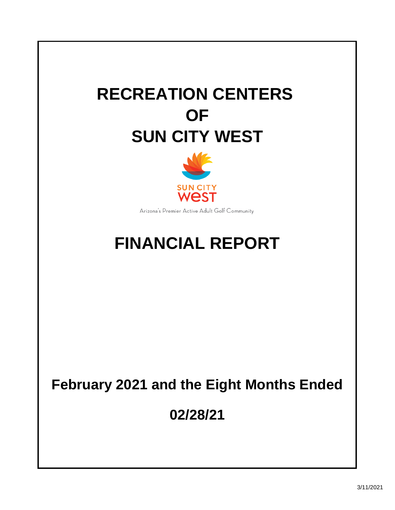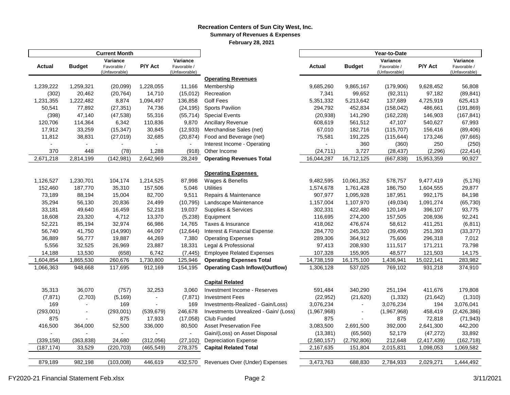#### **Recreation Centers of Sun City West, Inc. Summary of Revenues & Expenses February 28, 2021**

|                |                          | <b>Current Month</b>         |                          |                              |                                                              |                          |                          |                              |                          |                              |  |
|----------------|--------------------------|------------------------------|--------------------------|------------------------------|--------------------------------------------------------------|--------------------------|--------------------------|------------------------------|--------------------------|------------------------------|--|
|                |                          | Variance                     |                          | Variance                     |                                                              |                          |                          | Variance                     |                          | Variance                     |  |
| Actual         | <b>Budget</b>            | Favorable /<br>(Unfavorable) | P/Y Act                  | Favorable /<br>(Unfavorable) |                                                              | <b>Actual</b>            | <b>Budget</b>            | Favorable /<br>(Unfavorable) | P/Y Act                  | Favorable /<br>(Unfavorable) |  |
|                |                          |                              |                          |                              | <b>Operating Revenues</b>                                    |                          |                          |                              |                          |                              |  |
| 1,239,222      | 1,259,321                | (20,099)                     | 1,228,055                | 11,166                       | Membership                                                   | 9,685,260                | 9,865,167                | (179,906)                    | 9,628,452                | 56,808                       |  |
| (302)          | 20,462                   | (20, 764)                    | 14,710                   | (15,012)                     | Recreation                                                   | 7,341                    | 99,652                   | (92, 311)                    | 97,182                   | (89, 841)                    |  |
| 1,231,355      | 1,222,482                | 8,874                        | 1,094,497                | 136,858                      | <b>Golf Fees</b>                                             | 5,351,332                | 5,213,642                | 137,689                      | 4,725,919                | 625,413                      |  |
| 50,541         | 77,892                   | (27, 351)                    | 74,736                   | (24, 195)                    | <b>Sports Pavilion</b>                                       | 294,792                  | 452,834                  | (158, 042)                   | 486,661                  | (191, 869)                   |  |
| (398)          | 47,140                   | (47, 538)                    | 55,316                   | (55, 714)                    | <b>Special Events</b>                                        | (20, 938)                | 141,290                  | (162, 228)                   | 146,903                  | (167, 841)                   |  |
| 120,706        | 114,364                  | 6,342                        | 110,836                  | 9,870                        | Ancillary Revenue                                            | 608,619                  | 561,512                  | 47,107                       | 540,627                  | 67,993                       |  |
| 17,912         | 33,259                   | (15, 347)                    | 30,845                   | (12, 933)                    | Merchandise Sales (net)                                      | 67,010                   | 182,716                  | (115, 707)                   | 156,416                  | (89, 406)                    |  |
| 11,812         | 38,831                   | (27, 019)                    | 32,685                   | (20, 874)                    | Food and Beverage (net)                                      | 75,581                   | 191,225                  | (115, 644)                   | 173,246                  | (97, 665)                    |  |
| $\blacksquare$ | $\overline{\phantom{0}}$ |                              | $\overline{\phantom{0}}$ |                              | Interest Income - Operating                                  | $\overline{\phantom{a}}$ | 360                      | (360)                        | 250                      | (250)                        |  |
| 370            | 448                      | (78)                         | 1,288                    | (918)                        | Other Income                                                 | (24, 711)                | 3,727                    | (28, 437)                    | (2, 296)                 | (22, 414)                    |  |
| 2,671,218      | 2,814,199                | (142, 981)                   | 2,642,969                | 28,249                       | <b>Operating Revenues Total</b>                              | 16,044,287               | 16,712,125               | (667, 838)                   | 15,953,359               | 90,927                       |  |
|                |                          |                              |                          |                              |                                                              |                          |                          |                              |                          |                              |  |
|                |                          |                              |                          |                              | <b>Operating Expenses</b>                                    |                          |                          |                              |                          |                              |  |
| 1,126,527      | 1,230,701                | 104,174                      | 1,214,525                | 87,998                       | Wages & Benefits                                             | 9,482,595                | 10,061,352               | 578,757                      | 9,477,419                | (5, 176)                     |  |
| 152,460        | 187,770                  | 35,310                       | 157,506                  | 5,046                        | <b>Utilities</b>                                             | 1,574,678                | 1,761,428                | 186,750                      | 1,604,555                | 29,877                       |  |
| 73,189         | 88,194                   | 15,004                       | 82,700                   | 9,511                        | Repairs & Maintenance                                        | 907,977                  | 1,095,928                | 187,951                      | 992,175                  | 84,198                       |  |
| 35,294         | 56,130                   | 20,836                       | 24,499                   | (10, 795)                    | Landscape Maintenance                                        | 1,157,004                | 1,107,970                | (49, 034)                    | 1,091,274                | (65, 730)                    |  |
| 33,181         | 49,640                   | 16,459                       | 52,218                   | 19,037                       | Supplies & Services                                          | 302,331                  | 422,480                  | 120,149                      | 396,107                  | 93,775                       |  |
| 18,608         | 23,320                   | 4,712                        | 13,370                   | (5,238)                      | Equipment                                                    | 116,695                  | 274,200                  | 157,505                      | 208,936                  | 92,241                       |  |
| 52,221         | 85,194                   | 32,974                       | 66,986                   | 14,765                       | Taxes & Insurance                                            | 418,062                  | 476,674                  | 58,612                       | 411,251                  | (6, 811)                     |  |
| 56,740         | 41,750                   | (14,990)                     | 44,097                   | (12, 644)                    | Interest & Financial Expense                                 | 284,770                  | 245,320                  | (39, 450)                    | 251,393                  | (33, 377)                    |  |
| 36,889         | 56,777                   | 19,887                       | 44,269                   | 7,380                        | <b>Operating Expenses</b>                                    | 289,306                  | 364,912                  | 75,606                       | 296,318                  | 7,012                        |  |
| 5,556          | 32,525                   | 26,969                       | 23,887                   | 18,331                       | Legal & Professional                                         | 97,413                   | 208,930                  | 111,517                      | 171,211                  | 73,798                       |  |
| 14,188         | 13,530                   | (658)                        | 6,742                    | (7, 445)                     | <b>Employee Related Expenses</b>                             | 107,328                  | 155,905                  | 48,577                       | 121,503                  | 14,175                       |  |
| 1,604,854      | 1,865,530                | 260,676                      | 1,730,800                | 125,946                      | <b>Operating Expenses Total</b>                              | 14,738,159               | 16,175,100               | 1,436,941                    | 15,022,141               | 283,982                      |  |
| 1,066,363      | 948,668                  | 117,695                      | 912,169                  | 154,195                      | <b>Operating Cash Inflow/(Outflow)</b>                       | 1,306,128                | 537,025                  | 769,102                      | 931,218                  | 374,910                      |  |
|                |                          |                              |                          |                              |                                                              |                          |                          |                              |                          |                              |  |
|                |                          |                              |                          |                              | <b>Capital Related</b>                                       |                          |                          |                              |                          |                              |  |
| 35,313         | 36,070                   | (757)                        | 32,253                   | 3,060                        | Investment Income - Reserves                                 | 591,484                  | 340,290                  | 251,194                      | 411,676                  | 179,808                      |  |
| (7, 871)       | (2,703)                  | (5, 169)                     |                          | (7, 871)                     | <b>Investment Fees</b>                                       | (22, 952)                | (21, 620)                | (1, 332)                     | (21, 642)                | (1, 310)                     |  |
| 169            |                          | 169                          |                          | 169                          | Investments-Realized - Gain/Loss)                            | 3,076,234                |                          | 3,076,234                    | 194                      | 3,076,041                    |  |
| (293,001)      | $\blacksquare$           | (293,001)                    | (539, 679)               | 246,678                      | Investments Unrealized - Gain/ (Loss)                        | (1,967,968)              |                          | (1,967,968)                  | 458,419                  | (2,426,386)                  |  |
| 875<br>416,500 |                          | 875<br>52,500                | 17,933<br>336,000        | (17,058)<br>80,500           | Club Funded<br><b>Asset Preservation Fee</b>                 | 875<br>3,083,500         | 2,691,500                | 875<br>392,000               | 72,818<br>2,641,300      | (71, 943)<br>442,200         |  |
|                | 364,000                  | $\blacksquare$               |                          | $\overline{a}$               |                                                              | (13, 381)                |                          | 52,179                       | (47, 272)                | 33,892                       |  |
| (339, 158)     |                          | 24,680                       | (312,056)                | (27, 102)                    | Gain/(Loss) on Asset Disposal<br><b>Depreciation Expense</b> | (2,580,157)              | (65, 560)<br>(2,792,806) |                              |                          | (162, 718)                   |  |
| (187, 174)     | (363, 838)<br>33,529     | (220, 703)                   | (465, 549)               | 278,375                      | <b>Capital Related Total</b>                                 | 2,167,635                | 151,804                  | 212,648<br>2,015,831         | (2,417,439)<br>1,098,053 | 1,069,582                    |  |
|                |                          |                              |                          |                              |                                                              |                          |                          |                              |                          |                              |  |
| 879,189        | 982,198                  | (103,008)                    | 446,619                  | 432,570                      | Revenues Over (Under) Expenses                               | 3,473,763                | 688,830                  | 2,784,933                    | 2,029,271                | 1,444,492                    |  |
|                |                          |                              |                          |                              |                                                              |                          |                          |                              |                          |                              |  |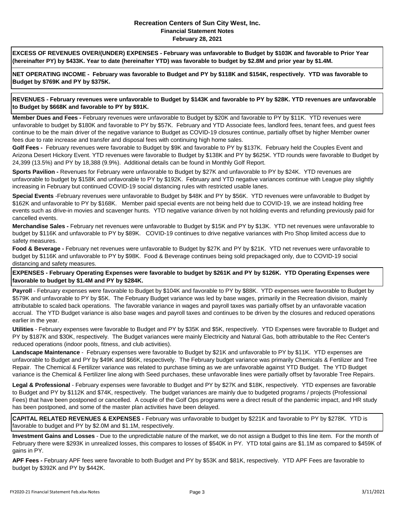#### **Recreation Centers of Sun City West, Inc. Financial Statement Notes February 28, 2021**

**EXCESS OF REVENUES OVER/(UNDER) EXPENSES - February was unfavorable to Budget by \$103K and favorable to Prior Year (hereinafter PY) by \$433K. Year to date (hereinafter YTD) was favorable to budget by \$2.8M and prior year by \$1.4M.** 

**NET OPERATING INCOME - February was favorable to Budget and PY by \$118K and \$154K, respectively. YTD was favorable to Budget by \$769K and PY by \$375K.**

**REVENUES - February revenues were unfavorable to Budget by \$143K and favorable to PY by \$28K. YTD revenues are unfavorable to Budget by \$668K and favorable to PY by \$91K.**

**Member Dues and Fees -** February revenues were unfavorable to Budget by \$20K and favorable to PY by \$11K. YTD revenues were unfavorable to budget by \$180K and favorable to PY by \$57K. February and YTD Associate fees, landlord fees, tenant fees, and guest fees continue to be the main driver of the negative variance to Budget as COVID-19 closures continue, partially offset by higher Member owner fees due to rate increase and transfer and disposal fees with continuing high home sales.

**Golf Fees -** February revenues were favorable to Budget by \$9K and favorable to PY by \$137K. February held the Couples Event and Arizona Desert Hickory Event. YTD revenues were favorable to Budget by \$138K and PY by \$625K. YTD rounds were favorable to Budget by 24,399 (13.5%) and PY by 18,388 (9.9%). Additional details can be found in Monthly Golf Report.

**Sports Pavilion -** Revenues for February were unfavorable to Budget by \$27K and unfavorable to PY by \$24K. YTD revenues are unfavorable to budget by \$158K and unfavorable to PY by \$192K. February and YTD negative variances continue with League play slightly increasing in February but continued COVID-19 social distancing rules with restricted usable lanes.

**Special Events** -February revenues were unfavorable to Budget by \$48K and PY by \$56K. YTD revenues were unfavorable to Budget by \$162K and unfavorable to PY by \$168K. Member paid special events are not being held due to COVID-19, we are instead holding free events such as drive-in movies and scavenger hunts. YTD negative variance driven by not holding events and refunding previously paid for cancelled events.

**Merchandise Sales -** February net revenues were unfavorable to Budget by \$15K and PY by \$13K. YTD net revenues were unfavorable to budget by \$116K and unfavorable to PY by \$89K. COVID-19 continues to drive negative variances with Pro Shop limited access due to safety measures.

**Food & Beverage -** February net revenues were unfavorable to Budget by \$27K and PY by \$21K. YTD net revenues were unfavorable to budget by \$116K and unfavorable to PY by \$98K. Food & Beverage continues being sold prepackaged only, due to COVID-19 social distancing and safety measures.

**EXPENSES - February Operating Expenses were favorable to budget by \$261K and PY by \$126K. YTD Operating Expenses were favorable to budget by \$1.4M and PY by \$284K.**

**Payroll** - February expenses were favorable to Budget by \$104K and favorable to PY by \$88K. YTD expenses were favorable to Budget by \$579K and unfavorable to PY by \$5K. The February Budget variance was led by base wages, primarily in the Recreation division, mainly attributable to scaled back operations. The favorable variance in wages and payroll taxes was partially offset by an unfavorable vacation accrual. The YTD Budget variance is also base wages and payroll taxes and continues to be driven by the closures and reduced operations earlier in the year.

**Utilities** - February expenses were favorable to Budget and PY by \$35K and \$5K, respectively. YTD Expenses were favorable to Budget and PY by \$187K and \$30K, respectively. The Budget variances were mainly Electricity and Natural Gas, both attributable to the Rec Center's reduced operations (indoor pools, fitness, and club activities).

**Landscape Maintenance** - February expenses were favorable to Budget by \$21K and unfavorable to PY by \$11K. YTD expenses are unfavorable to Budget and PY by \$49K and \$66K, respectively. The February budget variance was primarily Chemicals & Fertilizer and Tree Repair. The Chemical & Fertilizer variance was related to purchase timing as we are unfavorable against YTD Budget. The YTD Budget variance is the Chemical & Fertilizer line along with Seed purchases, these unfavorable lines were partially offset by favorable Tree Repairs.

**Legal & Professional** - February expenses were favorable to Budget and PY by \$27K and \$18K, respectively. YTD expenses are favorable to Budget and PY by \$112K and \$74K, respectively. The budget variances are mainly due to budgeted programs / projects (Professional Fees) that have been postponed or cancelled. A couple of the Golf Ops programs were a direct result of the pandemic impact, and HR study has been postponed, and some of the master plan activities have been delayed.

**CAPITAL RELATED REVENUES & EXPENSES -** February was unfavorable to budget by \$221K and favorable to PY by \$278K. YTD is favorable to budget and PY by \$2.0M and \$1.1M, respectively.

**Investment Gains and Losses** - Due to the unpredictable nature of the market, we do not assign a Budget to this line item. For the month of February there were \$293K in unrealized losses, this compares to losses of \$540K in PY. YTD total gains are \$1.1M as compared to \$459K of gains in PY.

**APF Fees -** February APF fees were favorable to both Budget and PY by \$53K and \$81K, respectively. YTD APF Fees are favorable to budget by \$392K and PY by \$442K.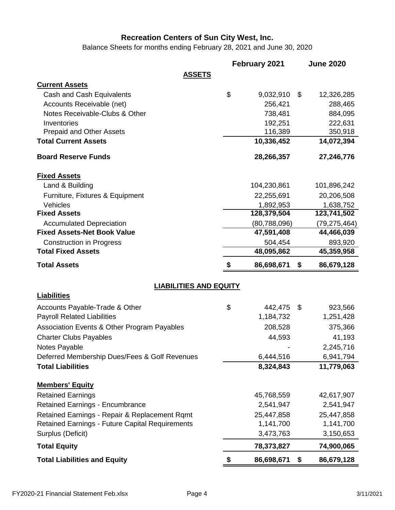Balance Sheets for months ending February 28, 2021 and June 30, 2020

|                                                        | February 2021    | <b>June 2020</b> |
|--------------------------------------------------------|------------------|------------------|
| <b>ASSETS</b>                                          |                  |                  |
| <b>Current Assets</b>                                  |                  |                  |
| Cash and Cash Equivalents                              | \$<br>9,032,910  | \$<br>12,326,285 |
| Accounts Receivable (net)                              | 256,421          | 288,465          |
| Notes Receivable-Clubs & Other                         | 738,481          | 884,095          |
| Inventories                                            | 192,251          | 222,631          |
| <b>Prepaid and Other Assets</b>                        | 116,389          | 350,918          |
| <b>Total Current Assets</b>                            | 10,336,452       | 14,072,394       |
| <b>Board Reserve Funds</b>                             | 28,266,357       | 27,246,776       |
| <b>Fixed Assets</b>                                    |                  |                  |
| Land & Building                                        | 104,230,861      | 101,896,242      |
| Furniture, Fixtures & Equipment                        | 22,255,691       | 20,206,508       |
| Vehicles                                               | 1,892,953        | 1,638,752        |
| <b>Fixed Assets</b>                                    | 128,379,504      | 123,741,502      |
| <b>Accumulated Depreciation</b>                        | (80, 788, 096)   | (79, 275, 464)   |
| <b>Fixed Assets-Net Book Value</b>                     | 47,591,408       | 44,466,039       |
| <b>Construction in Progress</b>                        | 504,454          | 893,920          |
| <b>Total Fixed Assets</b>                              | 48,095,862       | 45,359,958       |
| <b>Total Assets</b>                                    | \$<br>86,698,671 | \$<br>86,679,128 |
| <b>LIABILITIES AND EQUITY</b>                          |                  |                  |
| <b>Liabilities</b>                                     |                  |                  |
| Accounts Payable-Trade & Other                         | \$<br>442,475    | \$<br>923,566    |
| <b>Payroll Related Liabilities</b>                     | 1,184,732        | 1,251,428        |
| Association Events & Other Program Payables            | 208,528          | 375,366          |
| <b>Charter Clubs Payables</b>                          | 44,593           | 41,193           |
| <b>Notes Pavable</b>                                   |                  | 2,245,716        |
| Deferred Membership Dues/Fees & Golf Revenues          | 6,444,516        | 6,941,794        |
| <b>Total Liabilities</b>                               | 8,324,843        | 11,779,063       |
| <b>Members' Equity</b>                                 |                  |                  |
| <b>Retained Earnings</b>                               | 45,768,559       | 42,617,907       |
| <b>Retained Earnings - Encumbrance</b>                 | 2,541,947        | 2,541,947        |
| Retained Earnings - Repair & Replacement Rqmt          | 25,447,858       | 25,447,858       |
| <b>Retained Earnings - Future Capital Requirements</b> | 1,141,700        | 1,141,700        |
| Surplus (Deficit)                                      | 3,473,763        | 3,150,653        |
| <b>Total Equity</b>                                    | 78,373,827       | 74,900,065       |
| <b>Total Liabilities and Equity</b>                    | \$<br>86,698,671 | \$<br>86,679,128 |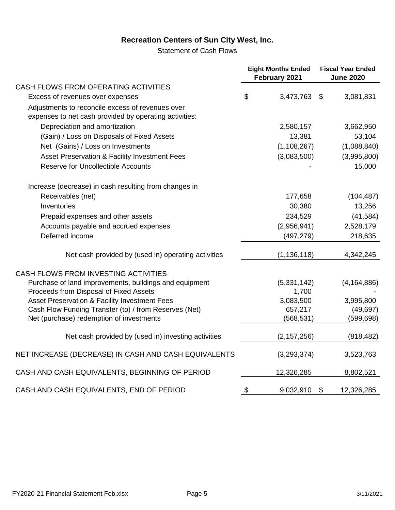Statement of Cash Flows

|                                                                                                            | <b>Eight Months Ended</b><br>February 2021 |                | <b>Fiscal Year Ended</b><br><b>June 2020</b> |  |
|------------------------------------------------------------------------------------------------------------|--------------------------------------------|----------------|----------------------------------------------|--|
| CASH FLOWS FROM OPERATING ACTIVITIES                                                                       |                                            |                |                                              |  |
| Excess of revenues over expenses                                                                           | \$<br>3,473,763                            | $\mathfrak{F}$ | 3,081,831                                    |  |
| Adjustments to reconcile excess of revenues over<br>expenses to net cash provided by operating activities: |                                            |                |                                              |  |
| Depreciation and amortization                                                                              | 2,580,157                                  |                | 3,662,950                                    |  |
| (Gain) / Loss on Disposals of Fixed Assets                                                                 | 13,381                                     |                | 53,104                                       |  |
| Net (Gains) / Loss on Investments                                                                          | (1, 108, 267)                              |                | (1,088,840)                                  |  |
| Asset Preservation & Facility Investment Fees                                                              | (3,083,500)                                |                | (3,995,800)                                  |  |
| <b>Reserve for Uncollectible Accounts</b>                                                                  |                                            |                | 15,000                                       |  |
| Increase (decrease) in cash resulting from changes in                                                      |                                            |                |                                              |  |
| Receivables (net)                                                                                          | 177,658                                    |                | (104, 487)                                   |  |
| Inventories                                                                                                | 30,380                                     |                | 13,256                                       |  |
| Prepaid expenses and other assets                                                                          | 234,529                                    |                | (41,584)                                     |  |
| Accounts payable and accrued expenses                                                                      | (2,956,941)                                |                | 2,528,179                                    |  |
| Deferred income                                                                                            | (497, 279)                                 |                | 218,635                                      |  |
| Net cash provided by (used in) operating activities                                                        | (1, 136, 118)                              |                | 4,342,245                                    |  |
| CASH FLOWS FROM INVESTING ACTIVITIES                                                                       |                                            |                |                                              |  |
| Purchase of land improvements, buildings and equipment                                                     | (5,331,142)                                |                | (4, 164, 886)                                |  |
| Proceeds from Disposal of Fixed Assets                                                                     | 1,700                                      |                |                                              |  |
| Asset Preservation & Facility Investment Fees                                                              | 3,083,500                                  |                | 3,995,800                                    |  |
| Cash Flow Funding Transfer (to) / from Reserves (Net)                                                      | 657,217                                    |                | (49, 697)                                    |  |
| Net (purchase) redemption of investments                                                                   | (568, 531)                                 |                | (599, 698)                                   |  |
| Net cash provided by (used in) investing activities                                                        | (2, 157, 256)                              |                | (818, 482)                                   |  |
| NET INCREASE (DECREASE) IN CASH AND CASH EQUIVALENTS                                                       | (3,293,374)                                |                | 3,523,763                                    |  |
| CASH AND CASH EQUIVALENTS, BEGINNING OF PERIOD                                                             | 12,326,285                                 |                | 8,802,521                                    |  |
| CASH AND CASH EQUIVALENTS, END OF PERIOD                                                                   | \$<br>9,032,910                            | \$             | 12,326,285                                   |  |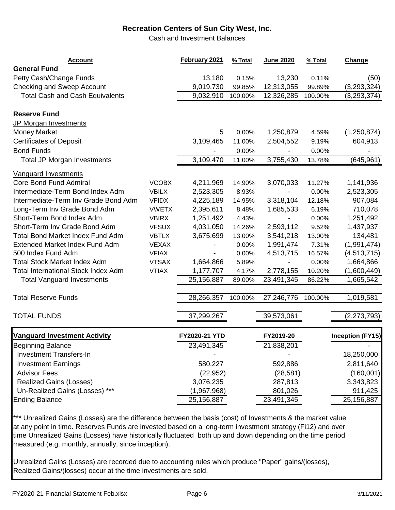Cash and Investment Balances

| <b>Account</b>                             |              | February 2021 | % Total | June 2020  | % Total | Change                  |
|--------------------------------------------|--------------|---------------|---------|------------|---------|-------------------------|
| <b>General Fund</b>                        |              |               |         |            |         |                         |
| Petty Cash/Change Funds                    |              | 13,180        | 0.15%   | 13,230     | 0.11%   | (50)                    |
| <b>Checking and Sweep Account</b>          |              | 9,019,730     | 99.85%  | 12,313,055 | 99.89%  | (3,293,324)             |
| <b>Total Cash and Cash Equivalents</b>     |              | 9,032,910     | 100.00% | 12,326,285 | 100.00% | (3, 293, 374)           |
| <b>Reserve Fund</b>                        |              |               |         |            |         |                         |
| JP Morgan Investments                      |              |               |         |            |         |                         |
| <b>Money Market</b>                        |              | 5             | 0.00%   | 1,250,879  | 4.59%   | (1,250,874)             |
| <b>Certificates of Deposit</b>             |              | 3,109,465     | 11.00%  | 2,504,552  | 9.19%   | 604,913                 |
| <b>Bond Funds</b>                          |              |               | 0.00%   |            | 0.00%   |                         |
| <b>Total JP Morgan Investments</b>         |              | 3,109,470     | 11.00%  | 3,755,430  | 13.78%  | (645, 961)              |
| <b>Vanguard Investments</b>                |              |               |         |            |         |                         |
| Core Bond Fund Admiral                     | <b>VCOBX</b> | 4,211,969     | 14.90%  | 3,070,033  | 11.27%  | 1,141,936               |
| Intermediate-Term Bond Index Adm           | <b>VBILX</b> | 2,523,305     | 8.93%   |            | 0.00%   | 2,523,305               |
| Intermediate-Term Inv Grade Bond Adm       | <b>VFIDX</b> | 4,225,189     | 14.95%  | 3,318,104  | 12.18%  | 907,084                 |
| Long-Term Inv Grade Bond Adm               | <b>VWETX</b> | 2,395,611     | 8.48%   | 1,685,533  | 6.19%   | 710,078                 |
| Short-Term Bond Index Adm                  | <b>VBIRX</b> | 1,251,492     | 4.43%   |            | 0.00%   | 1,251,492               |
| Short-Term Inv Grade Bond Adm              | <b>VFSUX</b> | 4,031,050     | 14.26%  | 2,593,112  | 9.52%   | 1,437,937               |
| <b>Total Bond Market Index Fund Adm</b>    | <b>VBTLX</b> | 3,675,699     | 13.00%  | 3,541,218  | 13.00%  | 134,481                 |
| Extended Market Index Fund Adm             | <b>VEXAX</b> |               | 0.00%   | 1,991,474  | 7.31%   | (1,991,474)             |
| 500 Index Fund Adm                         | <b>VFIAX</b> |               | 0.00%   | 4,513,715  | 16.57%  | (4,513,715)             |
| <b>Total Stock Market Index Adm</b>        | <b>VTSAX</b> | 1,664,866     | 5.89%   |            | 0.00%   | 1,664,866               |
| <b>Total International Stock Index Adm</b> | <b>VTIAX</b> | 1,177,707     | 4.17%   | 2,778,155  | 10.20%  | (1,600,449)             |
| <b>Total Vanguard Investments</b>          |              | 25,156,887    | 89.00%  | 23,491,345 | 86.22%  | 1,665,542               |
| <b>Total Reserve Funds</b>                 |              | 28,266,357    | 100.00% | 27,246,776 | 100.00% | 1,019,581               |
| <b>TOTAL FUNDS</b>                         |              |               |         |            |         | (2, 273, 793)           |
|                                            |              | 37,299,267    |         | 39,573,061 |         |                         |
| <b>Vanguard Investment Activity</b>        |              | FY2020-21 YTD |         | FY2019-20  |         | <b>Inception (FY15)</b> |
| <b>Beginning Balance</b>                   |              | 23,491,345    |         | 21,838,201 |         |                         |
| <b>Investment Transfers-In</b>             |              |               |         |            |         | 18,250,000              |
| <b>Investment Earnings</b>                 |              | 580,227       |         | 592,886    |         | 2,811,640               |
| <b>Advisor Fees</b>                        |              | (22, 952)     |         | (28, 581)  |         | (160,001)               |
| <b>Realized Gains (Losses)</b>             |              | 3,076,235     |         | 287,813    |         | 3,343,823               |
| Un-Realized Gains (Losses) ***             |              | (1,967,968)   |         | 801,026    |         | 911,425                 |
| <b>Ending Balance</b>                      |              | 25,156,887    |         | 23,491,345 |         | 25,156,887              |

\*\*\* Unrealized Gains (Losses) are the difference between the basis (cost) of Investments & the market value at any point in time. Reserves Funds are invested based on a long-term investment strategy (Fi12) and over time Unrealized Gains (Losses) have historically fluctuated both up and down depending on the time period measured (e.g. monthly, annually, since inception).

Unrealized Gains (Losses) are recorded due to accounting rules which produce "Paper" gains/(losses), Realized Gains/(losses) occur at the time investments are sold.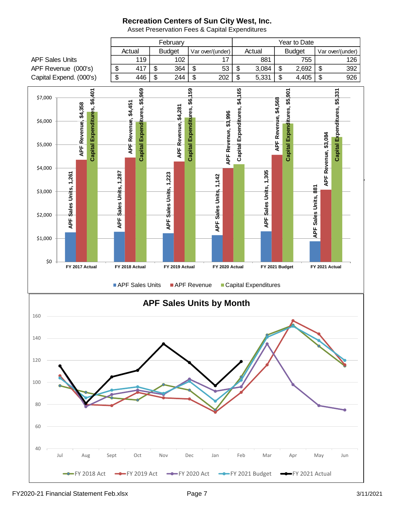

Asset Preservation Fees & Capital Expenditures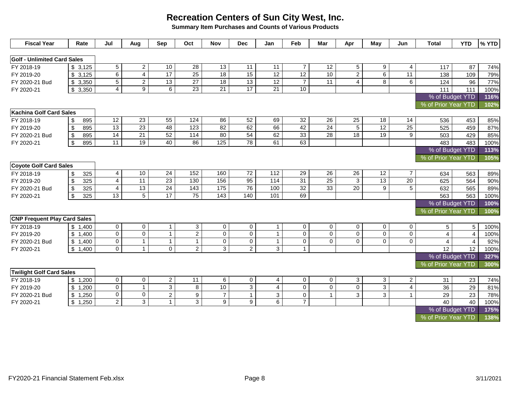**Summary Item Purchases and Counts of Various Products**

| <b>Fiscal Year</b>                  | Rate                           | Jul             | Aug             | Sep                        | Oct                     | <b>Nov</b>      | <b>Dec</b>      | Jan             | Feb             | Mar             | Apr             | May             | Jun             | <b>Total</b>        | <b>YTD</b>              | % YTD |
|-------------------------------------|--------------------------------|-----------------|-----------------|----------------------------|-------------------------|-----------------|-----------------|-----------------|-----------------|-----------------|-----------------|-----------------|-----------------|---------------------|-------------------------|-------|
| <b>Golf - Unlimited Card Sales</b>  |                                |                 |                 |                            |                         |                 |                 |                 |                 |                 |                 |                 |                 |                     |                         |       |
| FY 2018-19                          | \$3,125                        | $5\overline{)}$ | $\overline{2}$  | 10                         | 28                      | 13              | $\overline{11}$ | 11              | $\overline{7}$  | 12              | 5               | 9               | $\overline{4}$  | 117                 | 87                      | 74%   |
| FY 2019-20                          | \$3,125                        | $\overline{6}$  | $\overline{4}$  | 17                         | 25                      | $\overline{18}$ | 15              | $\overline{12}$ | $\overline{12}$ | 10              | $\overline{2}$  | 6               | $\overline{11}$ | 138                 | 109                     | 79%   |
| FY 2020-21 Bud                      | \$3,350                        | $\overline{5}$  | $\overline{2}$  | 13                         | 27                      | $\overline{18}$ | 13              | $\overline{12}$ | $\overline{7}$  | $\overline{11}$ | 4               | 8               | 6               | 124                 | 96                      | 77%   |
| FY 2020-21                          | \$3,350                        | $\overline{4}$  | $\overline{9}$  | 6                          | 23                      | 21              | 17              | 21              | 10              |                 |                 |                 |                 | 111                 | 111                     | 100%  |
|                                     |                                |                 |                 |                            |                         |                 |                 |                 |                 |                 |                 |                 |                 | % of Budget YTD     |                         | 116%  |
|                                     |                                |                 |                 |                            |                         |                 |                 |                 |                 |                 |                 |                 |                 | % of Prior Year YTD |                         | 102%  |
| <b>Kachina Golf Card Sales</b>      |                                |                 |                 |                            |                         |                 |                 |                 |                 |                 |                 |                 |                 |                     |                         |       |
| FY 2018-19                          | 895<br>\$                      | 12              | 23              | 55                         | 124                     | 86              | 52              | 69              | 32              | 26              | 25              | 18              | 14              | 536                 | 453                     | 85%   |
| FY 2019-20                          | 895<br>\$                      | 13              | $\overline{23}$ | 48                         | 123                     | 82              | 62              | 66              | 42              | $\overline{24}$ | 5               | $\overline{12}$ | $\overline{25}$ | 525                 | 459                     | 87%   |
| FY 2020-21 Bud                      | 895<br>\$                      | 14              | 21              | 52                         | 114                     | 80              | 54              | 62              | 33              | 28              | 18              | 19              | 9               | 503                 | 429                     | 85%   |
| FY 2020-21                          | 895<br>\$                      | 11              | 19              | 40                         | 86                      | 125             | 78              | 61              | 63              |                 |                 |                 |                 | 483                 | 483                     | 100%  |
|                                     |                                |                 |                 |                            |                         |                 |                 |                 |                 |                 |                 |                 |                 | % of Budget YTD     |                         | 113%  |
|                                     |                                |                 |                 |                            |                         |                 |                 |                 |                 |                 |                 |                 |                 | % of Prior Year YTD |                         | 105%  |
| <b>Coyote Golf Card Sales</b>       |                                |                 |                 |                            |                         |                 |                 |                 |                 |                 |                 |                 |                 |                     |                         |       |
| FY 2018-19                          | 325<br>\$                      | $\overline{4}$  | 10              | 24                         | 152                     | 160             | 72              | 112             | 29              | 26              | 26              | 12              | $\overline{7}$  | 634                 | 563                     | 89%   |
| FY 2019-20                          | $\sqrt[6]{\frac{1}{2}}$<br>325 | $\overline{4}$  | 11              | $\overline{23}$            | 130                     | 156             | 95              | 114             | 31              | $\overline{25}$ | 3               | 13              | 20              | 625                 | 564                     | 90%   |
| FY 2020-21 Bud                      | \$<br>325                      | $\overline{4}$  | 13              | 24                         | $\overline{143}$        | 175             | $\overline{76}$ | 100             | 32              | 33              | $\overline{20}$ | 9               | 5               | 632                 | 565                     | 89%   |
| FY 2020-21                          | \$<br>325                      | $\overline{13}$ | $\overline{5}$  | 17                         | 75                      | 143             | 140             | 101             | 69              |                 |                 |                 |                 | 563                 | 563                     | 100%  |
|                                     |                                |                 |                 |                            |                         |                 |                 |                 |                 |                 |                 |                 |                 | % of Budget YTD     |                         | 100%  |
|                                     |                                |                 |                 |                            |                         |                 |                 |                 |                 |                 |                 |                 |                 | % of Prior Year YTD |                         | 100%  |
| <b>CNP Frequent Play Card Sales</b> |                                |                 |                 |                            |                         |                 |                 |                 |                 |                 |                 |                 |                 |                     |                         |       |
| FY 2018-19                          | \$1,400                        | $\overline{0}$  | $\mathbf 0$     | $\mathbf{1}$               | 3                       | $\mathbf 0$     | $\mathbf 0$     | $\overline{1}$  | $\mathbf 0$     | $\mathbf 0$     | $\mathbf 0$     | 0               | 0               | 5                   | 5                       | 100%  |
| FY 2019-20                          | \$1,400                        | $\mathbf 0$     | $\mathbf 0$     | $\mathbf{1}$               | $\overline{2}$          | $\mathbf 0$     | $\mathbf 0$     | $\overline{1}$  | $\mathbf 0$     | $\mathsf{O}$    | $\mathbf 0$     | $\mathbf 0$     | $\mathsf{O}$    | $\overline{4}$      | $\overline{\mathbf{4}}$ | 100%  |
| FY 2020-21 Bud                      | \$1,400                        | $\overline{0}$  | $\mathbf{1}$    | $\mathbf{1}$               | $\mathbf{1}$            | $\mathbf 0$     | $\pmb{0}$       | $\overline{1}$  | $\mathbf 0$     | $\mathsf{O}$    | $\mathbf 0$     | 0               | $\mathbf 0$     | $\overline{4}$      | 4                       | 92%   |
| FY 2020-21                          | \$1,400                        | $\mathbf 0$     | $\mathbf{1}$    | $\overline{0}$             | $\overline{2}$          | $\overline{3}$  | 2               | 3               | $\mathbf{1}$    |                 |                 |                 |                 | 12                  | 12                      | 100%  |
|                                     |                                |                 |                 |                            |                         |                 |                 |                 |                 |                 |                 |                 |                 | % of Budget YTD     |                         | 327%  |
|                                     |                                |                 |                 |                            |                         |                 |                 |                 |                 |                 |                 |                 |                 | % of Prior Year YTD |                         | 300%  |
| <b>Twilight Golf Card Sales</b>     |                                |                 |                 |                            |                         |                 |                 |                 |                 |                 |                 |                 |                 |                     |                         |       |
| FY 2018-19                          | \$1,200                        | $\mathbf 0$     | $\mathbf 0$     | $\mathbf{2}$               | 11                      | 6               | 0               | 4               | $\mathbf 0$     | $\mathbf 0$     | $\mathbf{3}$    | 3               | $\overline{2}$  | 31                  | 23                      | 74%   |
| FY 2019-20                          | 1,200<br>\$                    | $\overline{0}$  | $\mathbf{1}$    | $\overline{3}$             | $\overline{\mathbf{8}}$ | 10              | $\overline{3}$  | $\overline{4}$  | $\Omega$        | $\mathsf{O}$    | $\mathbf 0$     | $\overline{3}$  | $\overline{4}$  | 36                  | $\overline{29}$         | 81%   |
| FY 2020-21 Bud                      | 1,250<br>\$                    | $\mathbf 0$     | $\mathbf 0$     | $\sqrt{2}$<br>$\mathbf{1}$ | $\boldsymbol{9}$        | $\overline{7}$  | $\mathbf{1}$    | 3               | $\mathbf 0$     | $\mathbf{1}$    | 3               | 3               | $\mathbf{1}$    | 29                  | 23                      | 78%   |
| FY 2020-21                          | 1,250<br>\$                    | $\overline{2}$  | 3               |                            | $\mathbf{3}$            | 9               | 9               | 6               | $\overline{7}$  |                 |                 |                 |                 | 40                  | 40                      | 100%  |
|                                     |                                |                 |                 |                            |                         |                 |                 |                 |                 |                 |                 |                 |                 | % of Budget YTD     |                         | 175%  |
|                                     |                                |                 |                 |                            |                         |                 |                 |                 |                 |                 |                 |                 |                 | % of Prior Year YTD |                         | 138%  |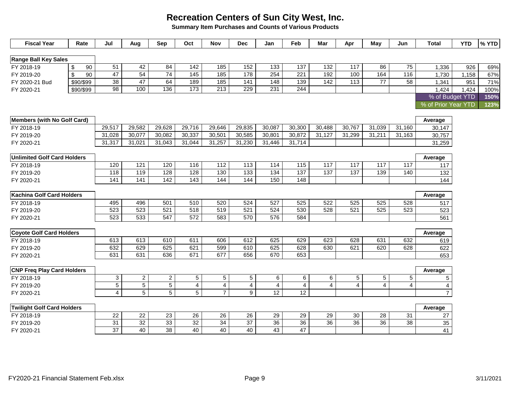**Summary Item Purchases and Counts of Various Products**

| <b>Fiscal Year</b>                 |                         | Rate      | Jul             | Aug             | Sep            | Oct             | <b>Nov</b>       | <b>Dec</b>       | Jan              | Feb            | Mar             | Apr             | May             | Jun             | Total               | <b>YTD</b> | % YTD |
|------------------------------------|-------------------------|-----------|-----------------|-----------------|----------------|-----------------|------------------|------------------|------------------|----------------|-----------------|-----------------|-----------------|-----------------|---------------------|------------|-------|
|                                    |                         |           |                 |                 |                |                 |                  |                  |                  |                |                 |                 |                 |                 |                     |            |       |
| <b>Range Ball Key Sales</b>        |                         |           |                 |                 |                |                 |                  |                  |                  |                |                 |                 |                 |                 |                     |            |       |
| FY 2018-19                         | $\sqrt[6]{\frac{1}{2}}$ | 90        | $\overline{51}$ | 42              | 84             | 142             | 185              | 152              | 133              | 137            | 132             | $\frac{1}{117}$ | 86              | 75              | 1,336               | 926        | 69%   |
| FY 2019-20                         | $\mathfrak{s}$          | 90        | 47              | 54              | 74             | 145             | 185              | 178              | 254              | 221            | 192             | 100             | 164             | 116             | 1,730               | 1,158      | 67%   |
| FY 2020-21 Bud                     |                         | \$90/\$99 | 38              | 47              | 64             | 189             | 185              | $\frac{1}{141}$  | 148              | 139            | $\frac{1}{142}$ | $\frac{1}{13}$  | $\overline{77}$ | $\overline{58}$ | 1,341               | 951        | 71%   |
| FY 2020-21                         |                         | \$90/\$99 | 98              | 100             | 136            | 173             | $\overline{213}$ | 229              | 231              | 244            |                 |                 |                 |                 | 1,424               | 1,424      | 100%  |
|                                    |                         |           |                 |                 |                |                 |                  |                  |                  |                |                 |                 |                 |                 | % of Budget YTD     |            | 150%  |
|                                    |                         |           |                 |                 |                |                 |                  |                  |                  |                |                 |                 |                 |                 | % of Prior Year YTD |            | 123%  |
|                                    |                         |           |                 |                 |                |                 |                  |                  |                  |                |                 |                 |                 |                 |                     |            |       |
| <b>Members (with No Golf Card)</b> |                         |           |                 |                 |                |                 |                  |                  |                  |                |                 |                 |                 |                 | Average             |            |       |
| FY 2018-19                         |                         |           | 29,517          | 29,582          | 29,628         | 29,716          | 29,646           | 29,835           | 30,087           | 30,300         | 30,488          | 30,767          | 31,039          | 31,160          | 30,147              |            |       |
| FY 2019-20                         |                         |           | 31,028          | 30,077          | 30,082         | 30,337          | 30,501           | 30,585           | 30,801           | 30,872         | 31,127          | 31,299          | 31,211          | 31,163          | 30,757              |            |       |
| FY 2020-21                         |                         |           | 31,317          | 31,021          | 31,043         | 31,044          | 31,257           | 31,230           | 31,446           | 31,714         |                 |                 |                 |                 | 31,259              |            |       |
|                                    |                         |           |                 |                 |                |                 |                  |                  |                  |                |                 |                 |                 |                 |                     |            |       |
| <b>Unlimited Golf Card Holders</b> |                         |           |                 |                 |                |                 |                  |                  |                  |                |                 |                 |                 |                 | Average             |            |       |
| FY 2018-19                         |                         |           | 120             | 121             | 120            | 116             | 112              | 113              | 114              | 115            | 117             | 117             | 117             | 117             | 117                 |            |       |
| FY 2019-20                         |                         |           | 118             | 119             | 128            | 128             | 130              | $\overline{133}$ | $\overline{134}$ | 137            | $\frac{137}{2}$ | $\frac{137}{2}$ | 139             | 140             | 132                 |            |       |
| FY 2020-21                         |                         |           | 141             | 141             | 142            | $\frac{1}{143}$ | 144              | 144              | 150              | 148            |                 |                 |                 |                 | 144                 |            |       |
|                                    |                         |           |                 |                 |                |                 |                  |                  |                  |                |                 |                 |                 |                 |                     |            |       |
| <b>Kachina Golf Card Holders</b>   |                         |           |                 |                 |                |                 |                  |                  |                  |                |                 |                 |                 |                 | Average             |            |       |
| FY 2018-19                         |                         |           | 495             | 496             | 501            | 510             | 520              | 524              | 527              | 525            | 522             | 525             | 525             | 528             | 517                 |            |       |
| FY 2019-20                         |                         |           | 523             | 523             | 521            | 518             | 519              | 521              | 524              | 530            | 528             | 521             | 525             | 523             | 523                 |            |       |
| FY 2020-21                         |                         |           | 523             | 533             | 547            | 572             | 583              | 570              | 576              | 584            |                 |                 |                 |                 | 561                 |            |       |
|                                    |                         |           |                 |                 |                |                 |                  |                  |                  |                |                 |                 |                 |                 |                     |            |       |
| <b>Coyote Golf Card Holders</b>    |                         |           |                 |                 |                |                 |                  |                  |                  |                |                 |                 |                 |                 | Average             |            |       |
| FY 2018-19                         |                         |           | 613             | 613             | 610            | 611             | 606              | 612              | 625              | 629            | 623             | 628             | 631             | 632             | 619                 |            |       |
| FY 2019-20                         |                         |           | 632             | 629             | 625            | 621             | 599              | 610              | 625              | 628            | 630             | 621             | 620             | 628             | 622                 |            |       |
| FY 2020-21                         |                         |           | 631             | 631             | 636            | 671             | 677              | 656              | 670              | 653            |                 |                 |                 |                 | 653                 |            |       |
|                                    |                         |           |                 |                 |                |                 |                  |                  |                  |                |                 |                 |                 |                 |                     |            |       |
| <b>CNP Freq Play Card Holders</b>  |                         |           |                 |                 |                |                 |                  |                  |                  |                |                 |                 |                 |                 | Average             |            |       |
| FY 2018-19                         |                         |           | $\mathbf{3}$    | $\overline{2}$  | $\overline{2}$ | 5               | 5                | 5                | 6                | 6              | 6               | 5               | 5               | 5               | 5                   |            |       |
| FY 2019-20                         |                         |           | $\overline{5}$  | $\overline{5}$  | $\overline{5}$ | 4               | 4                | 4                | $\overline{4}$   | $\overline{4}$ | $\overline{4}$  | $\overline{4}$  | $\overline{4}$  | 4               | 4                   |            |       |
| FY 2020-21                         |                         |           | $\overline{4}$  | 5               | 5 <sup>5</sup> | 5               | $\overline{7}$   | $9\,$            | 12               | 12             |                 |                 |                 |                 | $\overline{7}$      |            |       |
|                                    |                         |           |                 |                 |                |                 |                  |                  |                  |                |                 |                 |                 |                 |                     |            |       |
| <b>Twilight Golf Card Holders</b>  |                         |           |                 |                 |                |                 |                  |                  |                  |                |                 |                 |                 |                 | Average             |            |       |
| FY 2018-19                         |                         |           | 22              | 22              | 23             | 26              | 26               | 26               | 29               | 29             | 29              | 30              | 28              | 31              | 27                  |            |       |
| FY 2019-20                         |                         |           | 31              | $\overline{32}$ | 33             | 32              | 34               | 37               | 36               | 36             | 36              | 36              | $\overline{36}$ | 38              | 35                  |            |       |
| FY 2020-21                         |                         |           | $\overline{37}$ | 40              | 38             | 40              | 40               | 40               | 43               | 47             |                 |                 |                 |                 | 41                  |            |       |